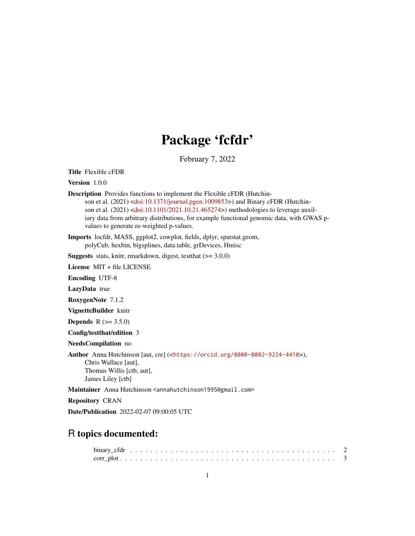# Package 'fcfdr'

February 7, 2022

Title Flexible cFDR

Version 1.0.0

Description Provides functions to implement the Flexible cFDR (Hutchinson et al. (2021) [<doi:10.1371/journal.pgen.1009853>](https://doi.org/10.1371/journal.pgen.1009853)) and Binary cFDR (Hutchin-son et al. (2021) [<doi:10.1101/2021.10.21.465274>](https://doi.org/10.1101/2021.10.21.465274)) methodologies to leverage auxiliary data from arbitrary distributions, for example functional genomic data, with GWAS pvalues to generate re-weighted p-values.

Imports locfdr, MASS, ggplot2, cowplot, fields, dplyr, spatstat.geom, polyCub, hexbin, bigsplines, data.table, grDevices, Hmisc

**Suggests** stats, knitr, rmarkdown, digest, test that  $(>= 3.0.0)$ 

License MIT + file LICENSE

Encoding UTF-8

LazyData true

RoxygenNote 7.1.2

VignetteBuilder knitr

**Depends**  $R (= 3.5.0)$ 

Config/testthat/edition 3

NeedsCompilation no

Author Anna Hutchinson [aut, cre] (<<https://orcid.org/0000-0002-9224-4410>>), Chris Wallace [aut], Thomas Willis [ctb, aut], James Liley [ctb]

Maintainer Anna Hutchinson <annahutchinson1995@gmail.com>

Repository CRAN

Date/Publication 2022-02-07 09:00:05 UTC

# R topics documented: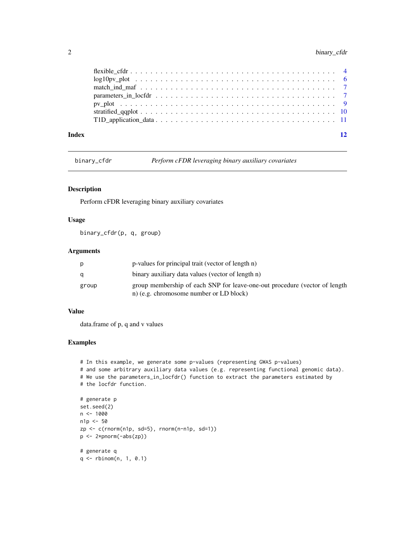<span id="page-1-0"></span>

binary\_cfdr *Perform cFDR leveraging binary auxiliary covariates*

# Description

Perform cFDR leveraging binary auxiliary covariates

# Usage

binary\_cfdr(p, q, group)

# Arguments

| p     | p-values for principal trait (vector of length n)                                                                     |
|-------|-----------------------------------------------------------------------------------------------------------------------|
| q     | binary auxiliary data values (vector of length n)                                                                     |
| group | group membership of each SNP for leave-one-out procedure (vector of length<br>n) (e.g. chromosome number or LD block) |

# Value

data.frame of p, q and v values

```
# In this example, we generate some p-values (representing GWAS p-values)
# and some arbitrary auxiliary data values (e.g. representing functional genomic data).
# We use the parameters_in_locfdr() function to extract the parameters estimated by
# the locfdr function.
# generate p
```

```
set.seed(2)
n < - 1000n1p <- 50
zp <- c(rnorm(n1p, sd=5), rnorm(n-n1p, sd=1))
p <- 2*pnorm(-abs(zp))
# generate q
q <- rbinom(n, 1, 0.1)
```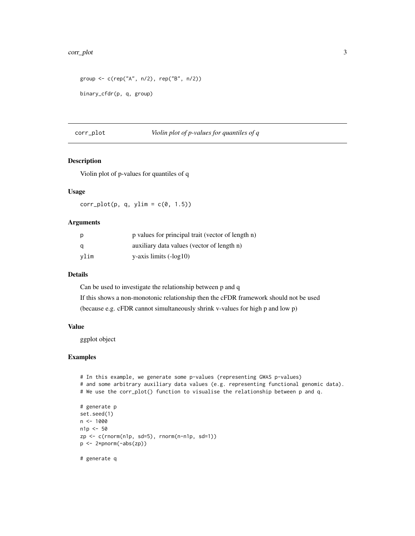#### <span id="page-2-0"></span>corr\_plot 3

```
group <- c(rep("A", n/2), rep("B", n/2))
binary_cfdr(p, q, group)
```
corr\_plot *Violin plot of p-values for quantiles of q*

# Description

Violin plot of p-values for quantiles of q

# Usage

 $corr\_plot(p, q, ylim = c(0, 1.5))$ 

#### Arguments

| p    | p values for principal trait (vector of length n) |
|------|---------------------------------------------------|
| a    | auxiliary data values (vector of length n)        |
| vlim | $y$ -axis limits $(-log 10)$                      |

#### Details

Can be used to investigate the relationship between p and q If this shows a non-monotonic relationship then the cFDR framework should not be used (because e.g. cFDR cannot simultaneously shrink v-values for high p and low p)

#### Value

ggplot object

```
# In this example, we generate some p-values (representing GWAS p-values)
# and some arbitrary auxiliary data values (e.g. representing functional genomic data).
# We use the corr_plot() function to visualise the relationship between p and q.
# generate p
set.seed(1)
n <- 1000
n1p <- 50
zp <- c(rnorm(n1p, sd=5), rnorm(n-n1p, sd=1))
p <- 2*pnorm(-abs(zp))
# generate q
```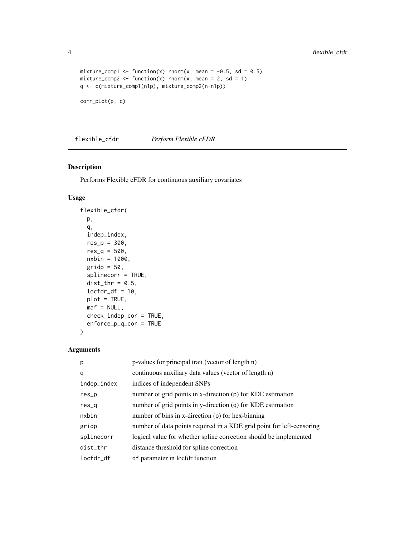```
mixture_comp1 <- function(x) rnorm(x, mean = -0.5, sd = 0.5)
mixture_comp2 <- function(x) rnorm(x, mean = 2, sd = 1)
q <- c(mixture_comp1(n1p), mixture_comp2(n-n1p))
```
corr\_plot(p, q)

flexible\_cfdr *Perform Flexible cFDR*

# Description

Performs Flexible cFDR for continuous auxiliary covariates

# Usage

```
flexible_cfdr(
  p,
  q,
  indep_index,
  res_p = 300,res_q = 500,nxbin = 1000,
  gridp = 50,
  splinecorr = TRUE,
  dist_{\text{thr}} = 0.5,
  locfdr_df = 10,
  plot = TRUE,
  \text{maf} = \text{NULL},
  check_indep_cor = TRUE,
  enforce_p_q_cor = TRUE
\mathcal{L}
```
# Arguments

| p           | p-values for principal trait (vector of length n)                     |
|-------------|-----------------------------------------------------------------------|
| q           | continuous auxiliary data values (vector of length n)                 |
| indep_index | indices of independent SNPs                                           |
| $res_p$     | number of grid points in x-direction (p) for KDE estimation           |
| $res_q$     | number of grid points in y-direction $(q)$ for KDE estimation         |
| nxbin       | number of bins in x-direction (p) for hex-binning                     |
| gridp       | number of data points required in a KDE grid point for left-censoring |
| splinecorr  | logical value for whether spline correction should be implemented     |
| dist_thr    | distance threshold for spline correction                              |
| locfdr df   | df parameter in locfdr function                                       |

<span id="page-3-0"></span>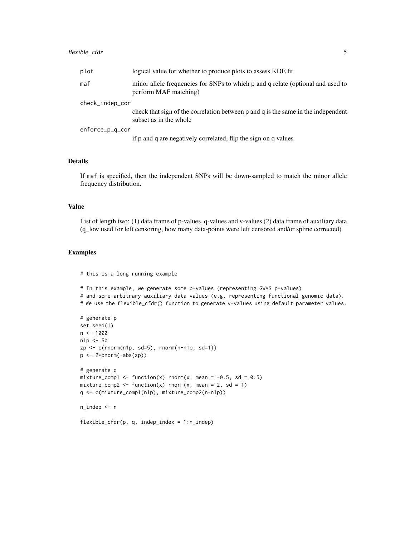| plot            | logical value for whether to produce plots to assess KDE fit                                                |
|-----------------|-------------------------------------------------------------------------------------------------------------|
| maf             | minor allele frequencies for SNPs to which p and q relate (optional and used to<br>perform MAF matching)    |
| check_indep_cor |                                                                                                             |
|                 | check that sign of the correlation between p and q is the same in the independent<br>subset as in the whole |
| enforce_p_q_cor |                                                                                                             |
|                 | if p and q are negatively correlated, flip the sign on q values                                             |

#### Details

If maf is specified, then the independent SNPs will be down-sampled to match the minor allele frequency distribution.

#### Value

List of length two: (1) data.frame of p-values, q-values and v-values (2) data.frame of auxiliary data (q\_low used for left censoring, how many data-points were left censored and/or spline corrected)

#### Examples

# this is a long running example

```
# In this example, we generate some p-values (representing GWAS p-values)
# and some arbitrary auxiliary data values (e.g. representing functional genomic data).
# We use the flexible_cfdr() function to generate v-values using default parameter values.
```

```
# generate p
set.seed(1)
n < - 1000n1p <- 50
zp \leq c(\text{rnorm}(n1p, sd=5), \text{rnorm}(n-n1p, sd=1))p <- 2*pnorm(-abs(zp))
# generate q
mixture_comp1 <- function(x) rnorm(x, mean = -0.5, sd = 0.5)
mixture_comp2 <- function(x) rnorm(x, mean = 2, sd = 1)
q <- c(mixture_comp1(n1p), mixture_comp2(n-n1p))
n_indep <- n
```
flexible\_cfdr(p, q, indep\_index = 1:n\_indep)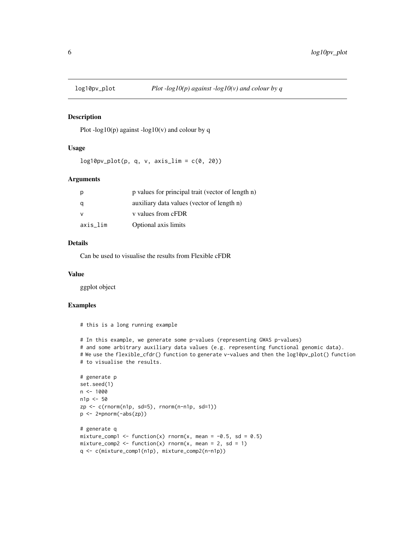<span id="page-5-0"></span>

#### Description

Plot -log10(p) against -log10(v) and colour by q

#### Usage

 $log10pv_plot(p, q, v, axis_lim = c(0, 20))$ 

# Arguments

|          | p values for principal trait (vector of length n) |
|----------|---------------------------------------------------|
|          | auxiliary data values (vector of length n)        |
|          | v values from cFDR                                |
| axis lim | Optional axis limits                              |

#### Details

Can be used to visualise the results from Flexible cFDR

#### Value

ggplot object

```
# this is a long running example
```

```
# In this example, we generate some p-values (representing GWAS p-values)
# and some arbitrary auxiliary data values (e.g. representing functional genomic data).
# We use the flexible_cfdr() function to generate v-values and then the log10pv_plot() function
# to visualise the results.
```

```
# generate p
set.seed(1)
n <- 1000
n1p <- 50
zp \leftarrow c(rnorm(n1p, sd=5), rnorm(n-n1p, sd=1))p \leftarrow 2*<i>pnorm(-abs(zp))</i># generate q
mixture_comp1 <- function(x) rnorm(x, mean = -0.5, sd = 0.5)
mixture_comp2 <- function(x) rnorm(x, mean = 2, sd = 1)
q <- c(mixture_comp1(n1p), mixture_comp2(n-n1p))
```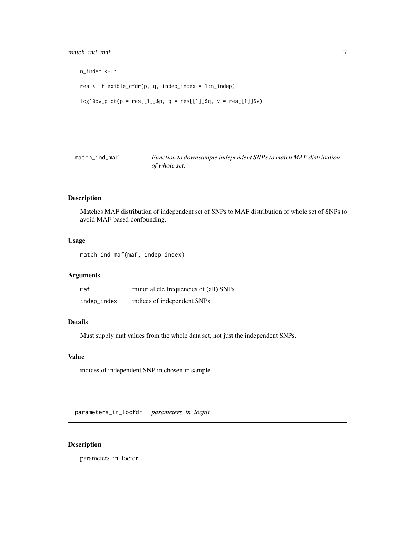```
n_indep <- n
res <- flexible_cfdr(p, q, indep_index = 1:n_indep)
log10pv_plot(p = res[[1]]$p, q = res[[1]]$q, v = res[[1]]$v)
```
match\_ind\_maf *Function to downsample independent SNPs to match MAF distribution of whole set.*

# Description

Matches MAF distribution of independent set of SNPs to MAF distribution of whole set of SNPs to avoid MAF-based confounding.

#### Usage

match\_ind\_maf(maf, indep\_index)

# Arguments

| maf         | minor allele frequencies of (all) SNPs |
|-------------|----------------------------------------|
| indep_index | indices of independent SNPs            |

# Details

Must supply maf values from the whole data set, not just the independent SNPs.

# Value

indices of independent SNP in chosen in sample

parameters\_in\_locfdr *parameters\_in\_locfdr*

# Description

parameters\_in\_locfdr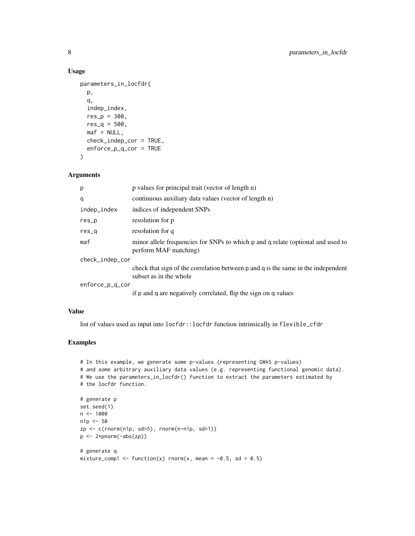# Usage

```
parameters_in_locfdr(
  p,
  q,
  indep_index,
  res_{p} = 300,
  res_q = 500,\text{maf} = \text{NULL},
  check_indep_cor = TRUE,
  enforce_p_q_cor = TRUE
)
```
#### Arguments

| p               | p values for principal trait (vector of length n)                                                           |
|-----------------|-------------------------------------------------------------------------------------------------------------|
| q               | continuous auxiliary data values (vector of length n)                                                       |
| indep_index     | indices of independent SNPs                                                                                 |
| $res_p$         | resolution for p                                                                                            |
| res_q           | resolution for q                                                                                            |
| maf             | minor allele frequencies for SNPs to which p and q relate (optional and used to<br>perform MAF matching)    |
| check_indep_cor |                                                                                                             |
|                 | check that sign of the correlation between p and q is the same in the independent<br>subset as in the whole |
| enforce_p_q_cor |                                                                                                             |
|                 | if p and q are negatively correlated, flip the sign on q values                                             |

# Value

list of values used as input into locfdr::locfdr function intrinsically in flexible\_cfdr

```
# In this example, we generate some p-values (representing GWAS p-values)
# and some arbitrary auxiliary data values (e.g. representing functional genomic data).
# We use the parameters_in_locfdr() function to extract the parameters estimated by
# the locfdr function.
# generate p
set.seed(1)
n < - 1000n1p <- 50
zp <- c(rnorm(n1p, sd=5), rnorm(n-n1p, sd=1))
p \leftarrow 2*<i>pnorm(-abs(zp))</i>
```

```
# generate q
mixture_comp1 <- function(x) rnorm(x, mean = -0.5, sd = 0.5)
```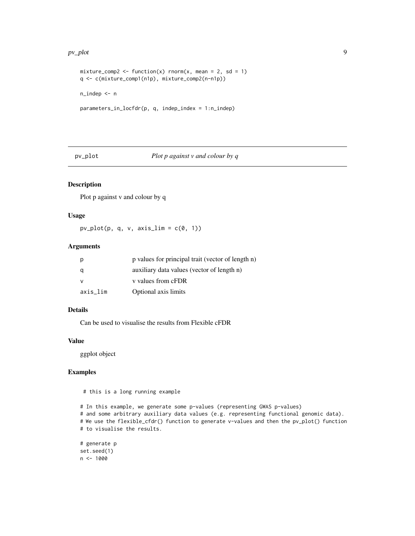#### <span id="page-8-0"></span>pv\_plot 9

```
mixture_comp2 <- function(x) rnorm(x, mean = 2, sd = 1)
q <- c(mixture_comp1(n1p), mixture_comp2(n-n1p))
n_indep <- n
parameters_in_locfdr(p, q, indep_index = 1:n_indep)
```
pv\_plot *Plot p against v and colour by q*

# Description

Plot p against v and colour by q

#### Usage

 $pv\_plot(p, q, v, axis\_lim = c(0, 1))$ 

#### Arguments

| p        | p values for principal trait (vector of length n) |
|----------|---------------------------------------------------|
| q        | auxiliary data values (vector of length n)        |
| v        | v values from cFDR                                |
| axis_lim | Optional axis limits                              |

# Details

Can be used to visualise the results from Flexible cFDR

#### Value

ggplot object

# Examples

# this is a long running example

```
# In this example, we generate some p-values (representing GWAS p-values)
# and some arbitrary auxiliary data values (e.g. representing functional genomic data).
# We use the flexible_cfdr() function to generate v-values and then the pv_plot() function
# to visualise the results.
```

```
# generate p
set.seed(1)
n <- 1000
```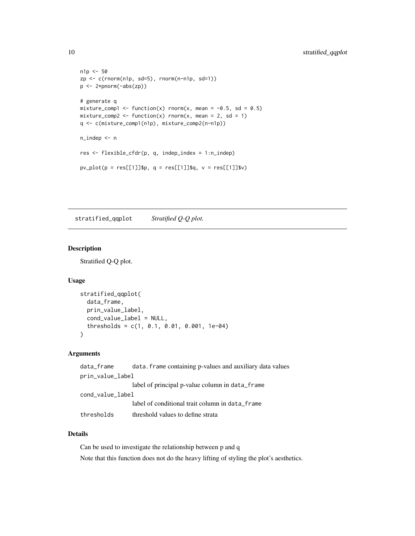```
n1p <- 50
zp \leftarrow c(rnorm(n1p, sd=5), rnorm(n-n1p, sd=1))p <- 2*pnorm(-abs(zp))
# generate q
mixture_comp1 <- function(x) rnorm(x, mean = -0.5, sd = 0.5)
mixture_comp2 <- function(x) rnorm(x, mean = 2, sd = 1)
q <- c(mixture_comp1(n1p), mixture_comp2(n-n1p))
n_indep <- n
res <- flexible_cfdr(p, q, indep_index = 1:n_indep)
pv\_plot(p = res[[1]]$p, q = res[[1]]$q, v = res[[1]]$v)
```
stratified\_qqplot *Stratified Q-Q plot.*

#### Description

Stratified Q-Q plot.

#### Usage

```
stratified_qqplot(
  data_frame,
  prin_value_label,
  cond_value_label = NULL,
  thresholds = c(1, 0.1, 0.01, 0.001, 1e-04)
)
```
#### Arguments

```
data_frame data.frame containing p-values and auxiliary data values
prin_value_label
                 label of principal p-value column in data_frame
cond_value_label
                 label of conditional trait column in data_frame
thresholds threshold values to define strata
```
# Details

Can be used to investigate the relationship between p and q Note that this function does not do the heavy lifting of styling the plot's aesthetics.

<span id="page-9-0"></span>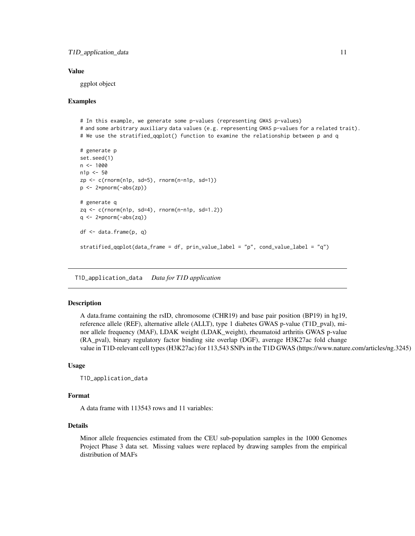#### <span id="page-10-0"></span>Value

ggplot object

#### Examples

```
# In this example, we generate some p-values (representing GWAS p-values)
# and some arbitrary auxiliary data values (e.g. representing GWAS p-values for a related trait).
# We use the stratified_qqplot() function to examine the relationship between p and q
# generate p
set.seed(1)
n <- 1000
n1p < -50zp \leq c(\text{rnorm}(n1p, sd=5), \text{rnorm}(n-n1p, sd=1))p \leftarrow 2*pnorm(-abs(zp))# generate q
zq <- c(rnorm(n1p, sd=4), rnorm(n-n1p, sd=1.2))
q \leftarrow 2*pnorm(-abs(zq))df <- data.frame(p, q)
stratified_qqplot(data_frame = df, prin_value_label = "p", cond_value_label = "q")
```
T1D\_application\_data *Data for T1D application*

#### Description

A data.frame containing the rsID, chromosome (CHR19) and base pair position (BP19) in hg19, reference allele (REF), alternative allele (ALLT), type 1 diabetes GWAS p-value (T1D\_pval), minor allele frequency (MAF), LDAK weight (LDAK\_weight), rheumatoid arthritis GWAS p-value (RA\_pval), binary regulatory factor binding site overlap (DGF), average H3K27ac fold change value in T1D-relevant cell types (H3K27ac) for 113,543 SNPs in the T1D GWAS (https://www.nature.com/articles/ng.3245)

#### Usage

```
T1D_application_data
```
#### Format

A data frame with 113543 rows and 11 variables:

# Details

Minor allele frequencies estimated from the CEU sub-population samples in the 1000 Genomes Project Phase 3 data set. Missing values were replaced by drawing samples from the empirical distribution of MAFs